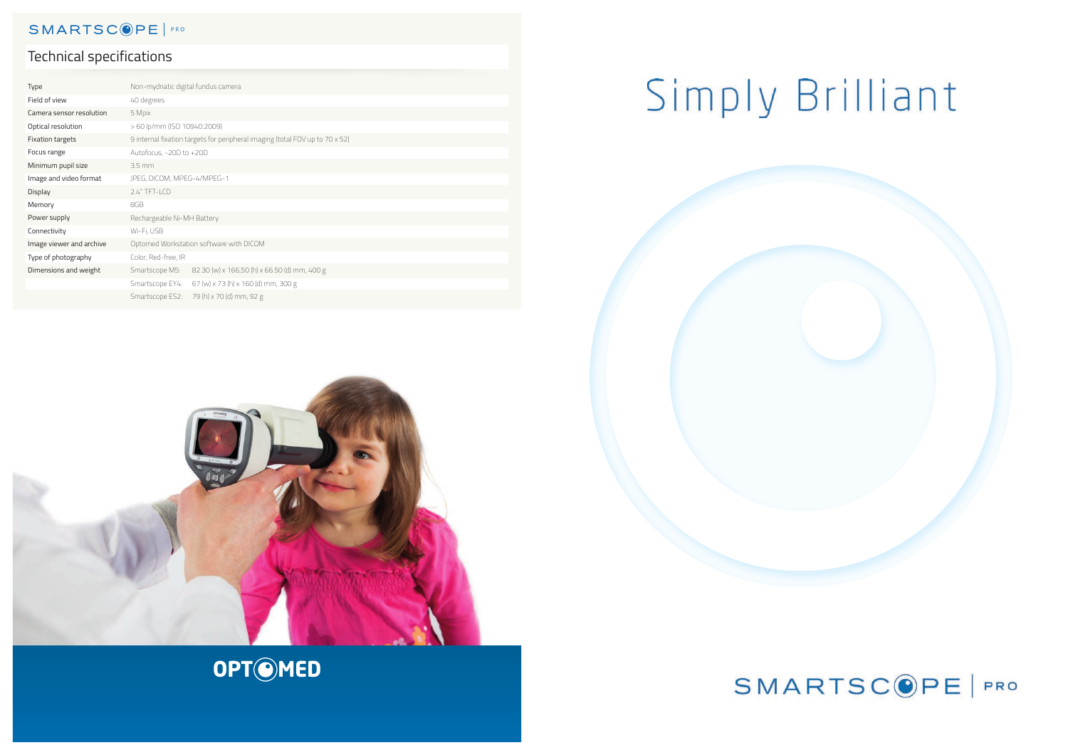| Type                     | Non-mydriatic digital fundus camera                                          |
|--------------------------|------------------------------------------------------------------------------|
| Field of view            | 40 degrees                                                                   |
| Camera sensor resolution | 5 Mpix                                                                       |
| Optical resolution       | > 60 lp/mm (ISO 10940:2009)                                                  |
| <b>Fixation targets</b>  | 9 internal fixation targets for peripheral imaging (total FOV up to 70 x 52) |
| Focus range              | Autofocus, -20D to +20D                                                      |
| Minimum pupil size       | $3.5 \text{ mm}$                                                             |
| Image and video format   | JPEG, DICOM; MPEG-4/MPEG-1                                                   |
| Display                  | 2.4" TFT-LCD                                                                 |
| Memory                   | 8GB                                                                          |
| Power supply             | Rechargeable Ni-MH Battery                                                   |
| Connectivity             | Wi-Fi, USB                                                                   |
| Image viewer and archive | Optomed Workstation software with DICOM                                      |
| Type of photography      | Color, Red-free, IR                                                          |
| Dimensions and weight    | 82.30 (w) x 166,50 (h) x 66.50 (d) mm, 400 g<br>Smartscope M5:               |
|                          | Smartscope EY4:<br>67 (w) x 73 (h) x 160 (d) mm, 300 g                       |
|                          | 79 (h) x 70 (d) mm, 92 g<br>Smartscope ES2:                                  |

# Simply Brilliant



# **OPT©MED**



# SMARTSC<sup>OPE | PRO</sup>

# Technical specifications